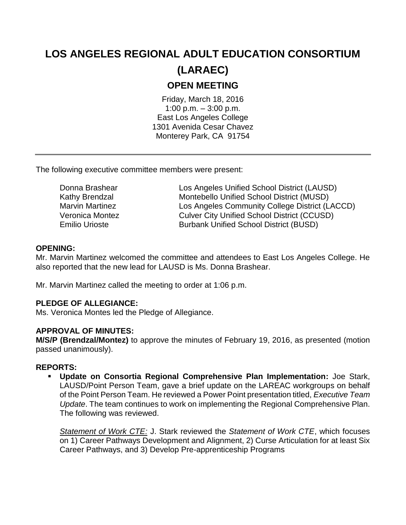# **LOS ANGELES REGIONAL ADULT EDUCATION CONSORTIUM (LARAEC) OPEN MEETING**

Friday, March 18, 2016 1:00 p.m. – 3:00 p.m. East Los Angeles College 1301 Avenida Cesar Chavez Monterey Park, CA 91754

The following executive committee members were present:

Donna Brashear Los Angeles Unified School District (LAUSD) Kathy Brendzal Montebello Unified School District (MUSD) Marvin Martinez Los Angeles Community College District (LACCD) Veronica Montez Culver City Unified School District (CCUSD) Emilio Urioste Burbank Unified School District (BUSD)

## **OPENING:**

Mr. Marvin Martinez welcomed the committee and attendees to East Los Angeles College. He also reported that the new lead for LAUSD is Ms. Donna Brashear.

Mr. Marvin Martinez called the meeting to order at 1:06 p.m.

## **PLEDGE OF ALLEGIANCE:**

Ms. Veronica Montes led the Pledge of Allegiance.

## **APPROVAL OF MINUTES:**

**M/S/P (Brendzal/Montez)** to approve the minutes of February 19, 2016, as presented (motion passed unanimously).

## **REPORTS:**

 **Update on Consortia Regional Comprehensive Plan Implementation:** Joe Stark, LAUSD/Point Person Team, gave a brief update on the LAREAC workgroups on behalf of the Point Person Team. He reviewed a Power Point presentation titled, *Executive Team Update*. The team continues to work on implementing the Regional Comprehensive Plan. The following was reviewed.

*Statement of Work CTE:* J. Stark reviewed the *Statement of Work CTE*, which focuses on 1) Career Pathways Development and Alignment, 2) Curse Articulation for at least Six Career Pathways, and 3) Develop Pre-apprenticeship Programs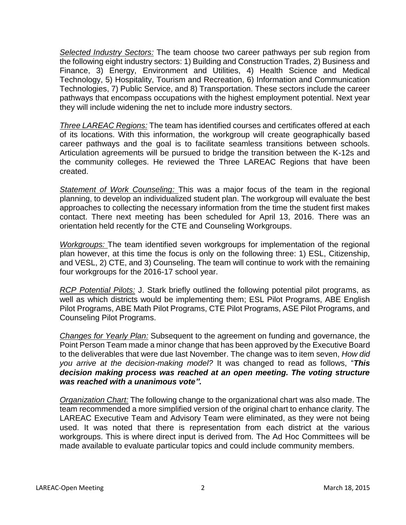*Selected Industry Sectors:* The team choose two career pathways per sub region from the following eight industry sectors: 1) Building and Construction Trades, 2) Business and Finance, 3) Energy, Environment and Utilities, 4) Health Science and Medical Technology, 5) Hospitality, Tourism and Recreation, 6) Information and Communication Technologies, 7) Public Service, and 8) Transportation. These sectors include the career pathways that encompass occupations with the highest employment potential. Next year they will include widening the net to include more industry sectors.

*Three LAREAC Regions:* The team has identified courses and certificates offered at each of its locations. With this information, the workgroup will create geographically based career pathways and the goal is to facilitate seamless transitions between schools. Articulation agreements will be pursued to bridge the transition between the K-12s and the community colleges. He reviewed the Three LAREAC Regions that have been created.

*Statement of Work Counseling:* This was a major focus of the team in the regional planning, to develop an individualized student plan. The workgroup will evaluate the best approaches to collecting the necessary information from the time the student first makes contact. There next meeting has been scheduled for April 13, 2016. There was an orientation held recently for the CTE and Counseling Workgroups.

*Workgroups:* The team identified seven workgroups for implementation of the regional plan however, at this time the focus is only on the following three: 1) ESL, Citizenship, and VESL, 2) CTE, and 3) Counseling. The team will continue to work with the remaining four workgroups for the 2016-17 school year.

*RCP Potential Pilots:* J. Stark briefly outlined the following potential pilot programs, as well as which districts would be implementing them; ESL Pilot Programs, ABE English Pilot Programs, ABE Math Pilot Programs, CTE Pilot Programs, ASE Pilot Programs, and Counseling Pilot Programs.

*Changes for Yearly Plan:* Subsequent to the agreement on funding and governance, the Point Person Team made a minor change that has been approved by the Executive Board to the deliverables that were due last November. The change was to item seven, *How did you arrive at the decision-making model?* It was changed to read as follows, "*This decision making process was reached at an open meeting. The voting structure was reached with a unanimous vote".* 

*Organization Chart:* The following change to the organizational chart was also made. The team recommended a more simplified version of the original chart to enhance clarity. The LAREAC Executive Team and Advisory Team were eliminated, as they were not being used. It was noted that there is representation from each district at the various workgroups. This is where direct input is derived from. The Ad Hoc Committees will be made available to evaluate particular topics and could include community members.